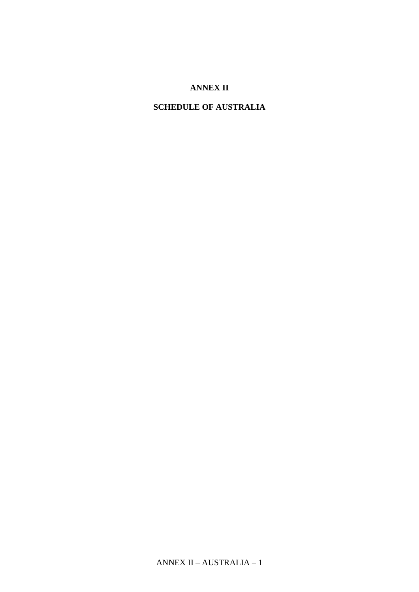## **ANNEX II**

# **SCHEDULE OF AUSTRALIA**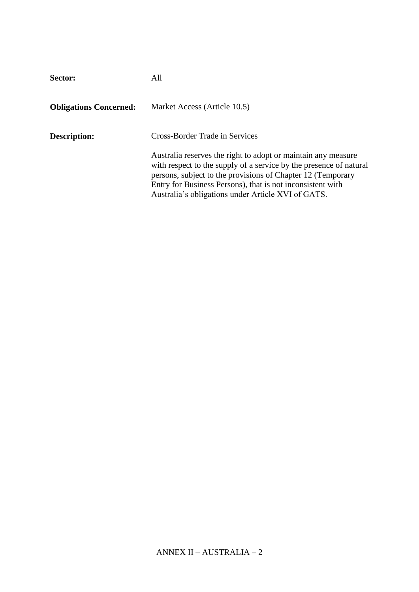| Sector:                       | All                                                                                                                                                                                                                                                                                                                    |
|-------------------------------|------------------------------------------------------------------------------------------------------------------------------------------------------------------------------------------------------------------------------------------------------------------------------------------------------------------------|
| <b>Obligations Concerned:</b> | Market Access (Article 10.5)                                                                                                                                                                                                                                                                                           |
| Description:                  | Cross-Border Trade in Services                                                                                                                                                                                                                                                                                         |
|                               | Australia reserves the right to adopt or maintain any measure<br>with respect to the supply of a service by the presence of natural<br>persons, subject to the provisions of Chapter 12 (Temporary<br>Entry for Business Persons), that is not inconsistent with<br>Australia's obligations under Article XVI of GATS. |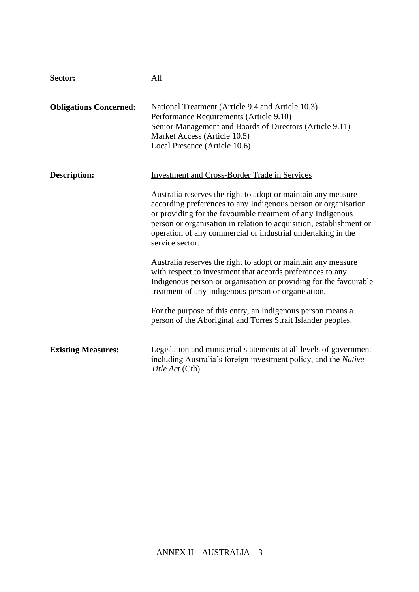| Sector:                       | All                                                                                                                                                                                                                                                                                                                                                                                                              |
|-------------------------------|------------------------------------------------------------------------------------------------------------------------------------------------------------------------------------------------------------------------------------------------------------------------------------------------------------------------------------------------------------------------------------------------------------------|
| <b>Obligations Concerned:</b> | National Treatment (Article 9.4 and Article 10.3)<br>Performance Requirements (Article 9.10)<br>Senior Management and Boards of Directors (Article 9.11)<br>Market Access (Article 10.5)<br>Local Presence (Article 10.6)                                                                                                                                                                                        |
| Description:                  | <b>Investment and Cross-Border Trade in Services</b><br>Australia reserves the right to adopt or maintain any measure<br>according preferences to any Indigenous person or organisation<br>or providing for the favourable treatment of any Indigenous<br>person or organisation in relation to acquisition, establishment or<br>operation of any commercial or industrial undertaking in the<br>service sector. |
|                               | Australia reserves the right to adopt or maintain any measure<br>with respect to investment that accords preferences to any<br>Indigenous person or organisation or providing for the favourable<br>treatment of any Indigenous person or organisation.<br>For the purpose of this entry, an Indigenous person means a<br>person of the Aboriginal and Torres Strait Islander peoples.                           |
| <b>Existing Measures:</b>     | Legislation and ministerial statements at all levels of government<br>including Australia's foreign investment policy, and the Native<br>Title Act (Cth).                                                                                                                                                                                                                                                        |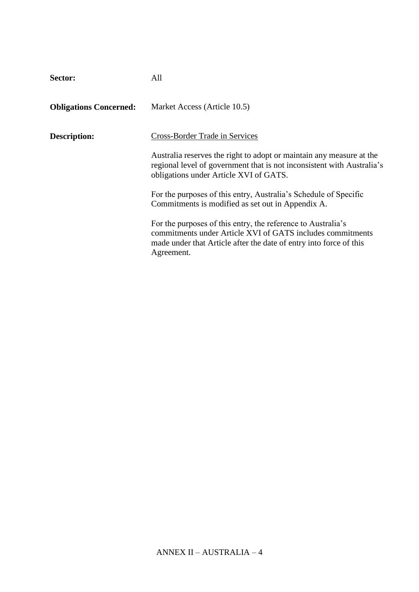| Sector:                       | All                                                                                                                                                                                                            |
|-------------------------------|----------------------------------------------------------------------------------------------------------------------------------------------------------------------------------------------------------------|
| <b>Obligations Concerned:</b> | Market Access (Article 10.5)                                                                                                                                                                                   |
| Description:                  | Cross-Border Trade in Services                                                                                                                                                                                 |
|                               | Australia reserves the right to adopt or maintain any measure at the<br>regional level of government that is not inconsistent with Australia's<br>obligations under Article XVI of GATS.                       |
|                               | For the purposes of this entry, Australia's Schedule of Specific<br>Commitments is modified as set out in Appendix A.                                                                                          |
|                               | For the purposes of this entry, the reference to Australia's<br>commitments under Article XVI of GATS includes commitments<br>made under that Article after the date of entry into force of this<br>Agreement. |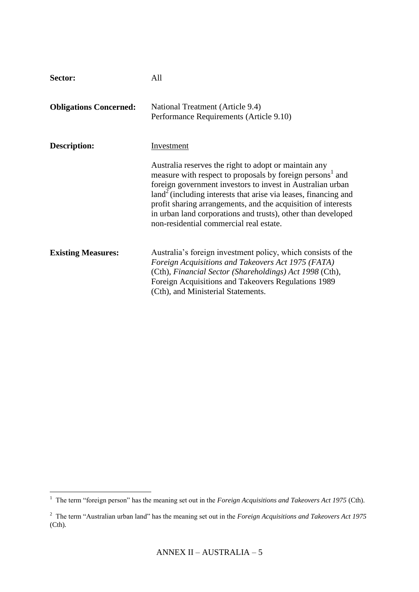| Sector:                       | All                                                                                                                                                                                                                                                                                                                                                                                                                                           |
|-------------------------------|-----------------------------------------------------------------------------------------------------------------------------------------------------------------------------------------------------------------------------------------------------------------------------------------------------------------------------------------------------------------------------------------------------------------------------------------------|
| <b>Obligations Concerned:</b> | National Treatment (Article 9.4)<br>Performance Requirements (Article 9.10)                                                                                                                                                                                                                                                                                                                                                                   |
| <b>Description:</b>           | Investment                                                                                                                                                                                                                                                                                                                                                                                                                                    |
|                               | Australia reserves the right to adopt or maintain any<br>measure with respect to proposals by foreign persons <sup>1</sup> and<br>foreign government investors to invest in Australian urban<br>$land2$ (including interests that arise via leases, financing and<br>profit sharing arrangements, and the acquisition of interests<br>in urban land corporations and trusts), other than developed<br>non-residential commercial real estate. |
| <b>Existing Measures:</b>     | Australia's foreign investment policy, which consists of the<br>Foreign Acquisitions and Takeovers Act 1975 (FATA)<br>(Cth), Financial Sector (Shareholdings) Act 1998 (Cth),<br>Foreign Acquisitions and Takeovers Regulations 1989<br>(Cth), and Ministerial Statements.                                                                                                                                                                    |

<sup>&</sup>lt;sup>1</sup> The term "foreign person" has the meaning set out in the *Foreign Acquisitions and Takeovers Act 1975* (Cth).

<sup>2</sup> The term "Australian urban land" has the meaning set out in the *Foreign Acquisitions and Takeovers Act 1975*  (Cth)*.*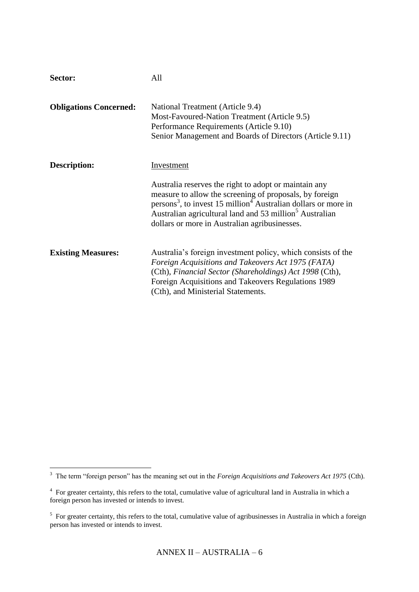| Sector:                       | All                                                                                                                                                                                                                                                                                                                                |
|-------------------------------|------------------------------------------------------------------------------------------------------------------------------------------------------------------------------------------------------------------------------------------------------------------------------------------------------------------------------------|
| <b>Obligations Concerned:</b> | National Treatment (Article 9.4)<br>Most-Favoured-Nation Treatment (Article 9.5)<br>Performance Requirements (Article 9.10)<br>Senior Management and Boards of Directors (Article 9.11)                                                                                                                                            |
| <b>Description:</b>           | Investment                                                                                                                                                                                                                                                                                                                         |
|                               | Australia reserves the right to adopt or maintain any<br>measure to allow the screening of proposals, by foreign<br>persons <sup>3</sup> , to invest 15 million <sup>4</sup> Australian dollars or more in<br>Australian agricultural land and 53 million <sup>5</sup> Australian<br>dollars or more in Australian agribusinesses. |
| <b>Existing Measures:</b>     | Australia's foreign investment policy, which consists of the<br>Foreign Acquisitions and Takeovers Act 1975 (FATA)<br>(Cth), Financial Sector (Shareholdings) Act 1998 (Cth),<br>Foreign Acquisitions and Takeovers Regulations 1989<br>(Cth), and Ministerial Statements.                                                         |

<sup>&</sup>lt;sup>3</sup> The term "foreign person" has the meaning set out in the *Foreign Acquisitions and Takeovers Act 1975* (Cth).

<sup>&</sup>lt;sup>4</sup> For greater certainty, this refers to the total, cumulative value of agricultural land in Australia in which a foreign person has invested or intends to invest.

 $<sup>5</sup>$  For greater certainty, this refers to the total, cumulative value of agribusinesses in Australia in which a foreign</sup> person has invested or intends to invest.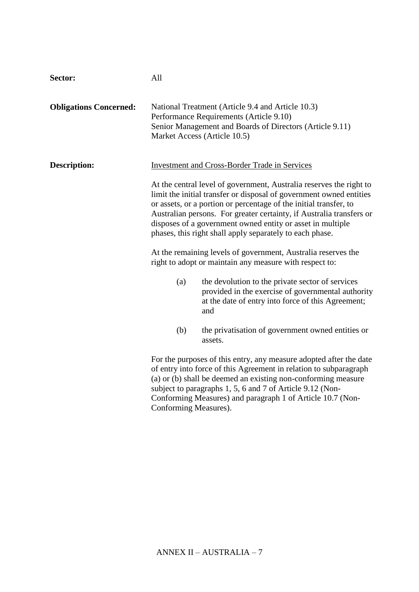| Sector:                       | All                   |                                                                                                                                                                                                                                                                                                                                                                                                                   |
|-------------------------------|-----------------------|-------------------------------------------------------------------------------------------------------------------------------------------------------------------------------------------------------------------------------------------------------------------------------------------------------------------------------------------------------------------------------------------------------------------|
| <b>Obligations Concerned:</b> |                       | National Treatment (Article 9.4 and Article 10.3)<br>Performance Requirements (Article 9.10)<br>Senior Management and Boards of Directors (Article 9.11)<br>Market Access (Article 10.5)                                                                                                                                                                                                                          |
| <b>Description:</b>           |                       | <b>Investment and Cross-Border Trade in Services</b>                                                                                                                                                                                                                                                                                                                                                              |
|                               |                       | At the central level of government, Australia reserves the right to<br>limit the initial transfer or disposal of government owned entities<br>or assets, or a portion or percentage of the initial transfer, to<br>Australian persons. For greater certainty, if Australia transfers or<br>disposes of a government owned entity or asset in multiple<br>phases, this right shall apply separately to each phase. |
|                               |                       | At the remaining levels of government, Australia reserves the<br>right to adopt or maintain any measure with respect to:                                                                                                                                                                                                                                                                                          |
|                               | (a)                   | the devolution to the private sector of services<br>provided in the exercise of governmental authority<br>at the date of entry into force of this Agreement;<br>and                                                                                                                                                                                                                                               |
|                               | (b)                   | the privatisation of government owned entities or<br>assets.                                                                                                                                                                                                                                                                                                                                                      |
|                               | Conforming Measures). | For the purposes of this entry, any measure adopted after the date<br>of entry into force of this Agreement in relation to subparagraph<br>(a) or (b) shall be deemed an existing non-conforming measure<br>subject to paragraphs 1, 5, 6 and 7 of Article 9.12 (Non-<br>Conforming Measures) and paragraph 1 of Article 10.7 (Non-                                                                               |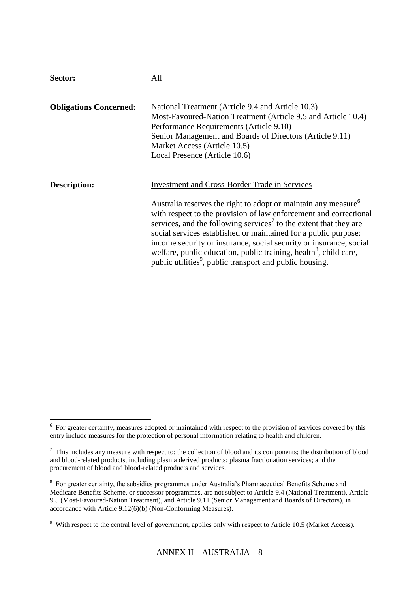| Sector:                       | All                                                                                                                                                                                                                                                                                                                                                                                                                                                                                                                                                                                        |
|-------------------------------|--------------------------------------------------------------------------------------------------------------------------------------------------------------------------------------------------------------------------------------------------------------------------------------------------------------------------------------------------------------------------------------------------------------------------------------------------------------------------------------------------------------------------------------------------------------------------------------------|
| <b>Obligations Concerned:</b> | National Treatment (Article 9.4 and Article 10.3)<br>Most-Favoured-Nation Treatment (Article 9.5 and Article 10.4)<br>Performance Requirements (Article 9.10)<br>Senior Management and Boards of Directors (Article 9.11)<br>Market Access (Article 10.5)<br>Local Presence (Article 10.6)                                                                                                                                                                                                                                                                                                 |
| Description:                  | <b>Investment and Cross-Border Trade in Services</b><br>Australia reserves the right to adopt or maintain any measure <sup>6</sup><br>with respect to the provision of law enforcement and correctional<br>services, and the following services <sup>7</sup> to the extent that they are<br>social services established or maintained for a public purpose:<br>income security or insurance, social security or insurance, social<br>welfare, public education, public training, health <sup>8</sup> , child care,<br>public utilities <sup>9</sup> , public transport and public housing. |

<sup>&</sup>lt;sup>6</sup> For greater certainty, measures adopted or maintained with respect to the provision of services covered by this entry include measures for the protection of personal information relating to health and children.

 $<sup>7</sup>$  This includes any measure with respect to: the collection of blood and its components; the distribution of blood</sup> and blood-related products, including plasma derived products; plasma fractionation services; and the procurement of blood and blood-related products and services.

<sup>&</sup>lt;sup>8</sup> For greater certainty, the subsidies programmes under Australia's Pharmaceutical Benefits Scheme and Medicare Benefits Scheme, or successor programmes, are not subject to Article 9.4 (National Treatment), Article 9.5 (Most-Favoured-Nation Treatment), and Article 9.11 (Senior Management and Boards of Directors), in accordance with Article 9.12(6)(b) (Non-Conforming Measures).

 $9$  With respect to the central level of government, applies only with respect to Article 10.5 (Market Access).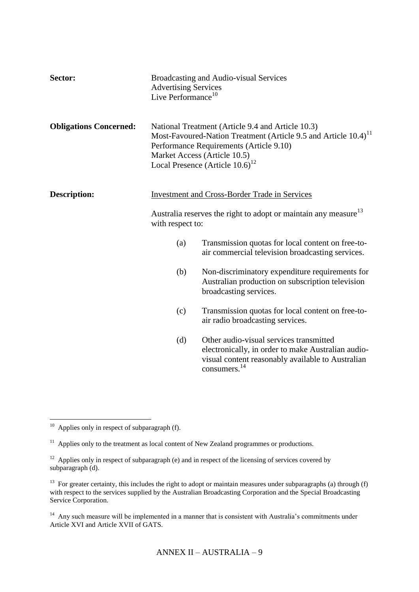| Sector:                       | <b>Advertising Services</b><br>Live Performance <sup>10</sup> | Broadcasting and Audio-visual Services                                                                                                                                                                                                                        |
|-------------------------------|---------------------------------------------------------------|---------------------------------------------------------------------------------------------------------------------------------------------------------------------------------------------------------------------------------------------------------------|
| <b>Obligations Concerned:</b> |                                                               | National Treatment (Article 9.4 and Article 10.3)<br>Most-Favoured-Nation Treatment (Article 9.5 and Article 10.4) <sup>11</sup><br>Performance Requirements (Article 9.10)<br>Market Access (Article 10.5)<br>Local Presence (Article $10.6$ ) <sup>12</sup> |
| <b>Description:</b>           |                                                               | <b>Investment and Cross-Border Trade in Services</b>                                                                                                                                                                                                          |
|                               | with respect to:                                              | Australia reserves the right to adopt or maintain any measure <sup>13</sup>                                                                                                                                                                                   |
|                               | (a)                                                           | Transmission quotas for local content on free-to-<br>air commercial television broadcasting services.                                                                                                                                                         |
|                               | (b)                                                           | Non-discriminatory expenditure requirements for<br>Australian production on subscription television<br>broadcasting services.                                                                                                                                 |
|                               | (c)                                                           | Transmission quotas for local content on free-to-<br>air radio broadcasting services.                                                                                                                                                                         |
|                               | (d)                                                           | Other audio-visual services transmitted<br>electronically, in order to make Australian audio-<br>visual content reasonably available to Australian<br>consumers. <sup>14</sup>                                                                                |

 $10$  Applies only in respect of subparagraph (f).

 $11$  Applies only to the treatment as local content of New Zealand programmes or productions.

 $12$  Applies only in respect of subparagraph (e) and in respect of the licensing of services covered by subparagraph (d).

<sup>&</sup>lt;sup>13</sup> For greater certainty, this includes the right to adopt or maintain measures under subparagraphs (a) through (f) with respect to the services supplied by the Australian Broadcasting Corporation and the Special Broadcasting Service Corporation.

<sup>&</sup>lt;sup>14</sup> Any such measure will be implemented in a manner that is consistent with Australia's commitments under Article XVI and Article XVII of GATS.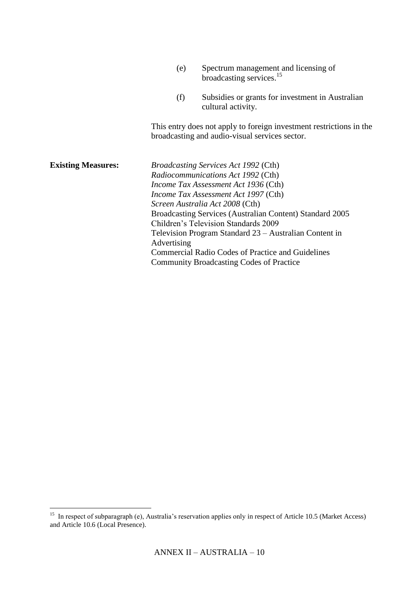|                           | (e)         | Spectrum management and licensing of<br>broadcasting services. <sup>15</sup>                                                                                                                                                                                                                                                                                                                                                                                                             |
|---------------------------|-------------|------------------------------------------------------------------------------------------------------------------------------------------------------------------------------------------------------------------------------------------------------------------------------------------------------------------------------------------------------------------------------------------------------------------------------------------------------------------------------------------|
|                           | (f)         | Subsidies or grants for investment in Australian<br>cultural activity.                                                                                                                                                                                                                                                                                                                                                                                                                   |
|                           |             | This entry does not apply to foreign investment restrictions in the<br>broadcasting and audio-visual services sector.                                                                                                                                                                                                                                                                                                                                                                    |
| <b>Existing Measures:</b> | Advertising | <i>Broadcasting Services Act 1992 (Cth)</i><br>Radiocommunications Act 1992 (Cth)<br>Income Tax Assessment Act 1936 (Cth)<br>Income Tax Assessment Act 1997 (Cth)<br>Screen Australia Act 2008 (Cth)<br>Broadcasting Services (Australian Content) Standard 2005<br><b>Children's Television Standards 2009</b><br>Television Program Standard 23 – Australian Content in<br><b>Commercial Radio Codes of Practice and Guidelines</b><br><b>Community Broadcasting Codes of Practice</b> |

<sup>&</sup>lt;sup>15</sup> In respect of subparagraph (e), Australia's reservation applies only in respect of Article 10.5 (Market Access) and Article 10.6 (Local Presence).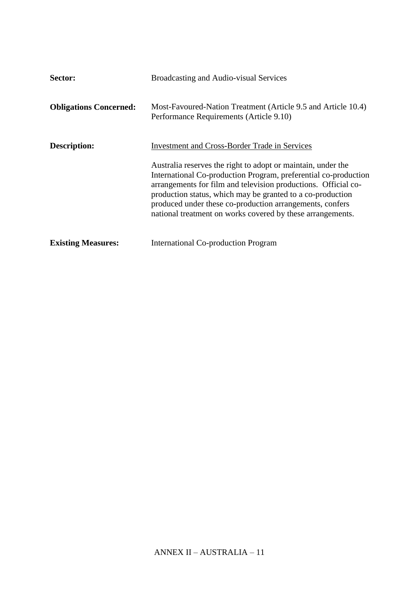| Sector:                       | Broadcasting and Audio-visual Services                                                                                                                                                                                                                                                                                                                                                    |
|-------------------------------|-------------------------------------------------------------------------------------------------------------------------------------------------------------------------------------------------------------------------------------------------------------------------------------------------------------------------------------------------------------------------------------------|
| <b>Obligations Concerned:</b> | Most-Favoured-Nation Treatment (Article 9.5 and Article 10.4)<br>Performance Requirements (Article 9.10)                                                                                                                                                                                                                                                                                  |
| Description:                  | <b>Investment and Cross-Border Trade in Services</b>                                                                                                                                                                                                                                                                                                                                      |
|                               | Australia reserves the right to adopt or maintain, under the<br>International Co-production Program, preferential co-production<br>arrangements for film and television productions. Official co-<br>production status, which may be granted to a co-production<br>produced under these co-production arrangements, confers<br>national treatment on works covered by these arrangements. |
| <b>Existing Measures:</b>     | International Co-production Program                                                                                                                                                                                                                                                                                                                                                       |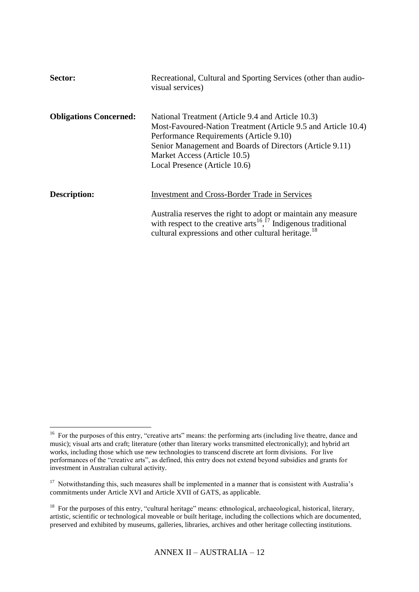| Sector:                       | Recreational, Cultural and Sporting Services (other than audio-<br>visual services)                                                                                                                                                                                                        |
|-------------------------------|--------------------------------------------------------------------------------------------------------------------------------------------------------------------------------------------------------------------------------------------------------------------------------------------|
| <b>Obligations Concerned:</b> | National Treatment (Article 9.4 and Article 10.3)<br>Most-Favoured-Nation Treatment (Article 9.5 and Article 10.4)<br>Performance Requirements (Article 9.10)<br>Senior Management and Boards of Directors (Article 9.11)<br>Market Access (Article 10.5)<br>Local Presence (Article 10.6) |
| Description:                  | <b>Investment and Cross-Border Trade in Services</b><br>Australia reserves the right to adopt or maintain any measure<br>with respect to the creative arts <sup>16, <math>^{17}</math></sup> Indigenous traditional<br>cultural expressions and other cultural heritage. <sup>18</sup>     |

<sup>&</sup>lt;sup>16</sup> For the purposes of this entry, "creative arts" means: the performing arts (including live theatre, dance and music); visual arts and craft; literature (other than literary works transmitted electronically); and hybrid art works, including those which use new technologies to transcend discrete art form divisions. For live performances of the "creative arts", as defined, this entry does not extend beyond subsidies and grants for investment in Australian cultural activity.

<sup>&</sup>lt;sup>17</sup> Notwithstanding this, such measures shall be implemented in a manner that is consistent with Australia's commitments under Article XVI and Article XVII of GATS, as applicable.

<sup>&</sup>lt;sup>18</sup> For the purposes of this entry, "cultural heritage" means: ethnological, archaeological, historical, literary, artistic, scientific or technological moveable or built heritage, including the collections which are documented, preserved and exhibited by museums, galleries, libraries, archives and other heritage collecting institutions.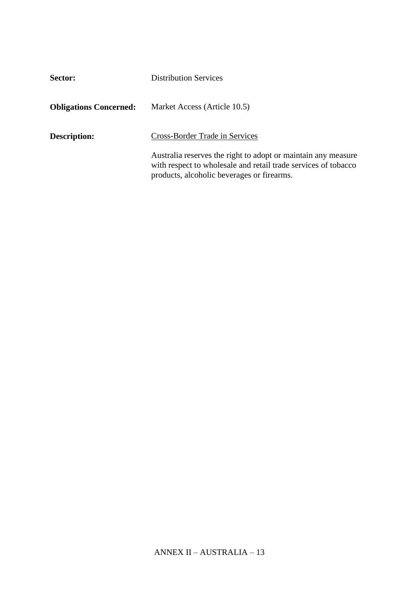| Sector:                       | <b>Distribution Services</b>                                                                                                                                                  |
|-------------------------------|-------------------------------------------------------------------------------------------------------------------------------------------------------------------------------|
| <b>Obligations Concerned:</b> | Market Access (Article 10.5)                                                                                                                                                  |
| <b>Description:</b>           | Cross-Border Trade in Services                                                                                                                                                |
|                               | Australia reserves the right to adopt or maintain any measure<br>with respect to wholesale and retail trade services of tobacco<br>products, alcoholic beverages or firearms. |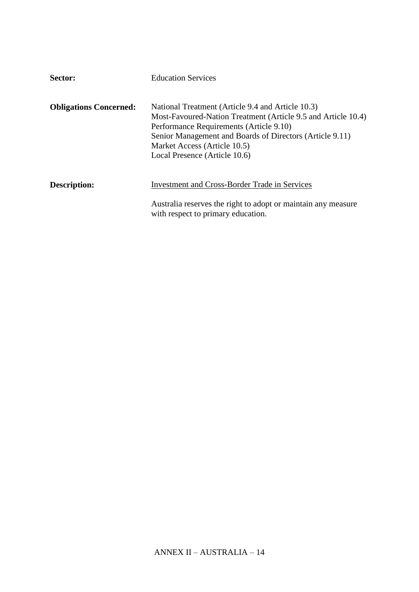| Sector:                       | <b>Education Services</b>                                                                                                                                                                                                                                                                  |
|-------------------------------|--------------------------------------------------------------------------------------------------------------------------------------------------------------------------------------------------------------------------------------------------------------------------------------------|
| <b>Obligations Concerned:</b> | National Treatment (Article 9.4 and Article 10.3)<br>Most-Favoured-Nation Treatment (Article 9.5 and Article 10.4)<br>Performance Requirements (Article 9.10)<br>Senior Management and Boards of Directors (Article 9.11)<br>Market Access (Article 10.5)<br>Local Presence (Article 10.6) |
| Description:                  | <b>Investment and Cross-Border Trade in Services</b>                                                                                                                                                                                                                                       |
|                               | Australia reserves the right to adopt or maintain any measure<br>with respect to primary education.                                                                                                                                                                                        |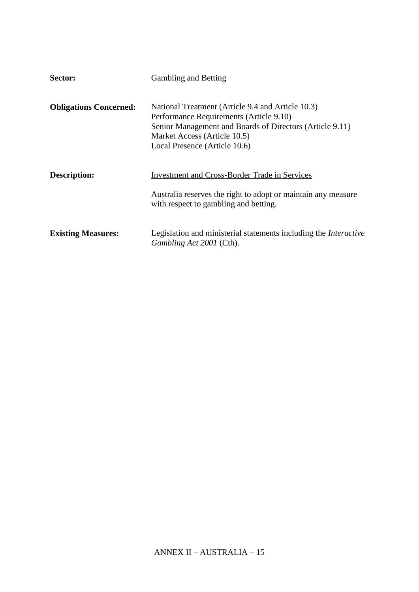| Sector:                       | <b>Gambling and Betting</b>                                                                                                                                                                                               |
|-------------------------------|---------------------------------------------------------------------------------------------------------------------------------------------------------------------------------------------------------------------------|
| <b>Obligations Concerned:</b> | National Treatment (Article 9.4 and Article 10.3)<br>Performance Requirements (Article 9.10)<br>Senior Management and Boards of Directors (Article 9.11)<br>Market Access (Article 10.5)<br>Local Presence (Article 10.6) |
| <b>Description:</b>           | <b>Investment and Cross-Border Trade in Services</b><br>Australia reserves the right to adopt or maintain any measure<br>with respect to gambling and betting.                                                            |
| <b>Existing Measures:</b>     | Legislation and ministerial statements including the <i>Interactive</i><br>Gambling Act 2001 (Cth).                                                                                                                       |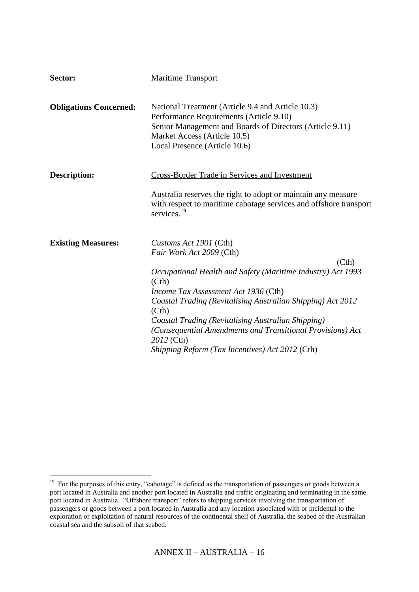| Sector:                       | <b>Maritime Transport</b>                                                                                                                                                                                                 |
|-------------------------------|---------------------------------------------------------------------------------------------------------------------------------------------------------------------------------------------------------------------------|
| <b>Obligations Concerned:</b> | National Treatment (Article 9.4 and Article 10.3)<br>Performance Requirements (Article 9.10)<br>Senior Management and Boards of Directors (Article 9.11)<br>Market Access (Article 10.5)<br>Local Presence (Article 10.6) |
| <b>Description:</b>           | Cross-Border Trade in Services and Investment                                                                                                                                                                             |
|                               | Australia reserves the right to adopt or maintain any measure<br>with respect to maritime cabotage services and offshore transport<br>services. <sup>19</sup>                                                             |
| <b>Existing Measures:</b>     | Customs Act 1901 (Cth)<br>Fair Work Act 2009 (Cth)                                                                                                                                                                        |
|                               | (Cth)                                                                                                                                                                                                                     |
|                               | Occupational Health and Safety (Maritime Industry) Act 1993<br>(Cth)                                                                                                                                                      |
|                               | Income Tax Assessment Act 1936 (Cth)                                                                                                                                                                                      |
|                               | Coastal Trading (Revitalising Australian Shipping) Act 2012<br>(Cth)                                                                                                                                                      |
|                               | Coastal Trading (Revitalising Australian Shipping)                                                                                                                                                                        |
|                               | (Consequential Amendments and Transitional Provisions) Act<br>2012 (Cth)                                                                                                                                                  |
|                               | Shipping Reform (Tax Incentives) Act 2012 (Cth)                                                                                                                                                                           |

<sup>&</sup>lt;sup>19</sup> For the purposes of this entry, "cabotage" is defined as the transportation of passengers or goods between a port located in Australia and another port located in Australia and traffic originating and terminating in the same port located in Australia. "Offshore transport" refers to shipping services involving the transportation of passengers or goods between a port located in Australia and any location associated with or incidental to the exploration or exploitation of natural resources of the continental shelf of Australia, the seabed of the Australian coastal sea and the subsoil of that seabed.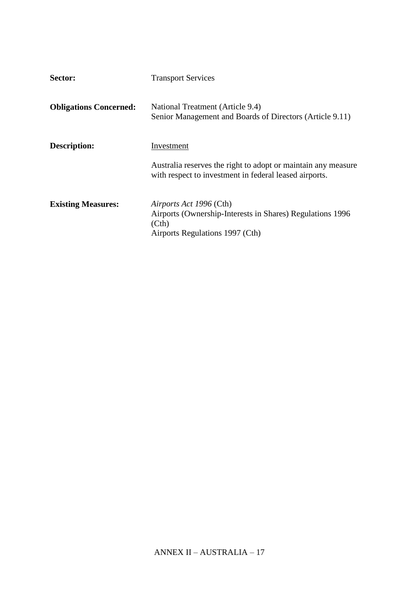| Sector:                       | <b>Transport Services</b>                                                                                                       |
|-------------------------------|---------------------------------------------------------------------------------------------------------------------------------|
| <b>Obligations Concerned:</b> | National Treatment (Article 9.4)<br>Senior Management and Boards of Directors (Article 9.11)                                    |
| <b>Description:</b>           | Investment                                                                                                                      |
|                               | Australia reserves the right to adopt or maintain any measure<br>with respect to investment in federal leased airports.         |
| <b>Existing Measures:</b>     | Airports Act 1996 (Cth)<br>Airports (Ownership-Interests in Shares) Regulations 1996<br>(Ch)<br>Airports Regulations 1997 (Cth) |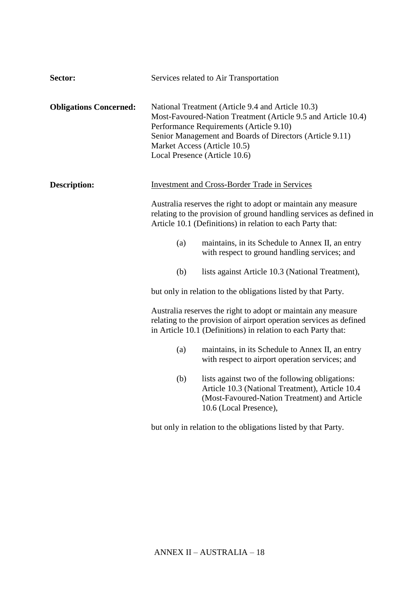| Sector:                       | Services related to Air Transportation                                                                                                                                                                                                                                                                                                                                              |                                                                                                                                                                              |
|-------------------------------|-------------------------------------------------------------------------------------------------------------------------------------------------------------------------------------------------------------------------------------------------------------------------------------------------------------------------------------------------------------------------------------|------------------------------------------------------------------------------------------------------------------------------------------------------------------------------|
| <b>Obligations Concerned:</b> | National Treatment (Article 9.4 and Article 10.3)<br>Most-Favoured-Nation Treatment (Article 9.5 and Article 10.4)<br>Performance Requirements (Article 9.10)<br>Senior Management and Boards of Directors (Article 9.11)<br>Market Access (Article 10.5)<br>Local Presence (Article 10.6)                                                                                          |                                                                                                                                                                              |
| <b>Description:</b>           | <b>Investment and Cross-Border Trade in Services</b><br>Australia reserves the right to adopt or maintain any measure<br>relating to the provision of ground handling services as defined in<br>Article 10.1 (Definitions) in relation to each Party that:                                                                                                                          |                                                                                                                                                                              |
|                               |                                                                                                                                                                                                                                                                                                                                                                                     |                                                                                                                                                                              |
|                               | (a)                                                                                                                                                                                                                                                                                                                                                                                 | maintains, in its Schedule to Annex II, an entry<br>with respect to ground handling services; and                                                                            |
|                               | (b)                                                                                                                                                                                                                                                                                                                                                                                 | lists against Article 10.3 (National Treatment),                                                                                                                             |
|                               | but only in relation to the obligations listed by that Party.<br>Australia reserves the right to adopt or maintain any measure<br>relating to the provision of airport operation services as defined<br>in Article 10.1 (Definitions) in relation to each Party that:<br>(a)<br>maintains, in its Schedule to Annex II, an entry<br>with respect to airport operation services; and |                                                                                                                                                                              |
|                               |                                                                                                                                                                                                                                                                                                                                                                                     |                                                                                                                                                                              |
|                               |                                                                                                                                                                                                                                                                                                                                                                                     |                                                                                                                                                                              |
|                               | (b)                                                                                                                                                                                                                                                                                                                                                                                 | lists against two of the following obligations:<br>Article 10.3 (National Treatment), Article 10.4<br>(Most-Favoured-Nation Treatment) and Article<br>10.6 (Local Presence), |
|                               |                                                                                                                                                                                                                                                                                                                                                                                     | but only in relation to the obligations listed by that Party.                                                                                                                |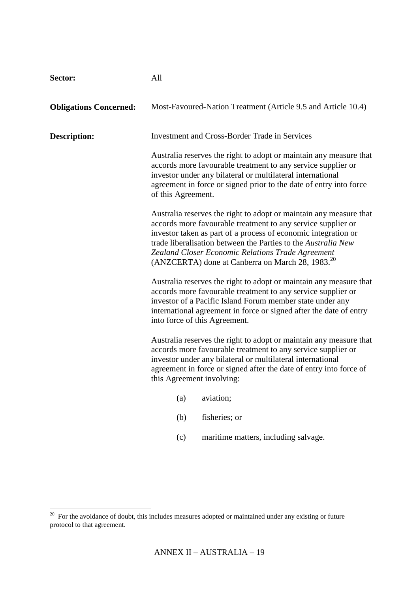#### **Sector:** All

| <b>Obligations Concerned:</b> |                                                                                                                                                                                                                                                                                                                                                                                                                                                                                                                                                                                                               | Most-Favoured-Nation Treatment (Article 9.5 and Article 10.4)                                                                                                                                                                                                                                                                                                                              |
|-------------------------------|---------------------------------------------------------------------------------------------------------------------------------------------------------------------------------------------------------------------------------------------------------------------------------------------------------------------------------------------------------------------------------------------------------------------------------------------------------------------------------------------------------------------------------------------------------------------------------------------------------------|--------------------------------------------------------------------------------------------------------------------------------------------------------------------------------------------------------------------------------------------------------------------------------------------------------------------------------------------------------------------------------------------|
| <b>Description:</b>           | <b>Investment and Cross-Border Trade in Services</b>                                                                                                                                                                                                                                                                                                                                                                                                                                                                                                                                                          |                                                                                                                                                                                                                                                                                                                                                                                            |
|                               | of this Agreement.                                                                                                                                                                                                                                                                                                                                                                                                                                                                                                                                                                                            | Australia reserves the right to adopt or maintain any measure that<br>accords more favourable treatment to any service supplier or<br>investor under any bilateral or multilateral international<br>agreement in force or signed prior to the date of entry into force                                                                                                                     |
|                               |                                                                                                                                                                                                                                                                                                                                                                                                                                                                                                                                                                                                               | Australia reserves the right to adopt or maintain any measure that<br>accords more favourable treatment to any service supplier or<br>investor taken as part of a process of economic integration or<br>trade liberalisation between the Parties to the Australia New<br>Zealand Closer Economic Relations Trade Agreement<br>(ANZCERTA) done at Canberra on March 28, 1983. <sup>20</sup> |
|                               | Australia reserves the right to adopt or maintain any measure that<br>accords more favourable treatment to any service supplier or<br>investor of a Pacific Island Forum member state under any<br>international agreement in force or signed after the date of entry<br>into force of this Agreement.<br>Australia reserves the right to adopt or maintain any measure that<br>accords more favourable treatment to any service supplier or<br>investor under any bilateral or multilateral international<br>agreement in force or signed after the date of entry into force of<br>this Agreement involving: |                                                                                                                                                                                                                                                                                                                                                                                            |
|                               |                                                                                                                                                                                                                                                                                                                                                                                                                                                                                                                                                                                                               |                                                                                                                                                                                                                                                                                                                                                                                            |
|                               | (a)                                                                                                                                                                                                                                                                                                                                                                                                                                                                                                                                                                                                           | aviation;                                                                                                                                                                                                                                                                                                                                                                                  |
|                               | (b)                                                                                                                                                                                                                                                                                                                                                                                                                                                                                                                                                                                                           | fisheries; or                                                                                                                                                                                                                                                                                                                                                                              |
|                               | (c)                                                                                                                                                                                                                                                                                                                                                                                                                                                                                                                                                                                                           | maritime matters, including salvage.                                                                                                                                                                                                                                                                                                                                                       |
|                               |                                                                                                                                                                                                                                                                                                                                                                                                                                                                                                                                                                                                               |                                                                                                                                                                                                                                                                                                                                                                                            |

<sup>&</sup>lt;sup>20</sup> For the avoidance of doubt, this includes measures adopted or maintained under any existing or future protocol to that agreement.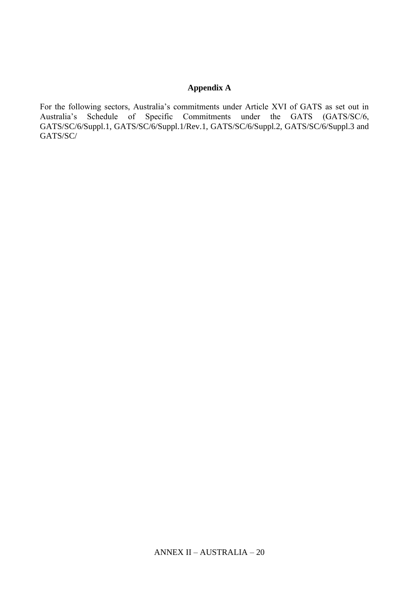## **Appendix A**

For the following sectors, Australia's commitments under Article XVI of GATS as set out in Australia's Schedule of Specific Commitments under the GATS (GATS/SC/6, GATS/SC/6/Suppl.1, GATS/SC/6/Suppl.1/Rev.1, GATS/SC/6/Suppl.2, GATS/SC/6/Suppl.3 and GATS/SC/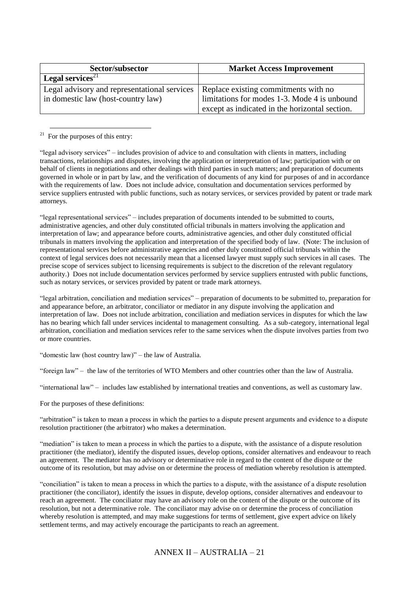| Sector/subsector                             | <b>Market Access Improvement</b>               |
|----------------------------------------------|------------------------------------------------|
| <b>Legal services</b> <sup>21</sup>          |                                                |
| Legal advisory and representational services | Replace existing commitments with no           |
| in domestic law (host-country law)           | limitations for modes 1-3. Mode 4 is unbound   |
|                                              | except as indicated in the horizontal section. |

 $^{21}$  For the purposes of this entry:

"legal advisory services" – includes provision of advice to and consultation with clients in matters, including transactions, relationships and disputes, involving the application or interpretation of law; participation with or on behalf of clients in negotiations and other dealings with third parties in such matters; and preparation of documents governed in whole or in part by law, and the verification of documents of any kind for purposes of and in accordance with the requirements of law. Does not include advice, consultation and documentation services performed by service suppliers entrusted with public functions, such as notary services, or services provided by patent or trade mark attorneys.

"legal representational services" – includes preparation of documents intended to be submitted to courts, administrative agencies, and other duly constituted official tribunals in matters involving the application and interpretation of law; and appearance before courts, administrative agencies, and other duly constituted official tribunals in matters involving the application and interpretation of the specified body of law. (Note: The inclusion of representational services before administrative agencies and other duly constituted official tribunals within the context of legal services does not necessarily mean that a licensed lawyer must supply such services in all cases. The precise scope of services subject to licensing requirements is subject to the discretion of the relevant regulatory authority.) Does not include documentation services performed by service suppliers entrusted with public functions, such as notary services, or services provided by patent or trade mark attorneys.

"legal arbitration, conciliation and mediation services" – preparation of documents to be submitted to, preparation for and appearance before, an arbitrator, conciliator or mediator in any dispute involving the application and interpretation of law. Does not include arbitration, conciliation and mediation services in disputes for which the law has no bearing which fall under services incidental to management consulting. As a sub-category, international legal arbitration, conciliation and mediation services refer to the same services when the dispute involves parties from two or more countries.

"domestic law (host country law)" – the law of Australia.

"foreign law" – the law of the territories of WTO Members and other countries other than the law of Australia.

"international law" – includes law established by international treaties and conventions, as well as customary law.

For the purposes of these definitions:

"arbitration" is taken to mean a process in which the parties to a dispute present arguments and evidence to a dispute resolution practitioner (the arbitrator) who makes a determination.

"mediation" is taken to mean a process in which the parties to a dispute, with the assistance of a dispute resolution practitioner (the mediator), identify the disputed issues, develop options, consider alternatives and endeavour to reach an agreement. The mediator has no advisory or determinative role in regard to the content of the dispute or the outcome of its resolution, but may advise on or determine the process of mediation whereby resolution is attempted.

"conciliation" is taken to mean a process in which the parties to a dispute, with the assistance of a dispute resolution practitioner (the conciliator), identify the issues in dispute, develop options, consider alternatives and endeavour to reach an agreement. The conciliator may have an advisory role on the content of the dispute or the outcome of its resolution, but not a determinative role. The conciliator may advise on or determine the process of conciliation whereby resolution is attempted, and may make suggestions for terms of settlement, give expert advice on likely settlement terms, and may actively encourage the participants to reach an agreement.

### ANNEX II – AUSTRALIA – 21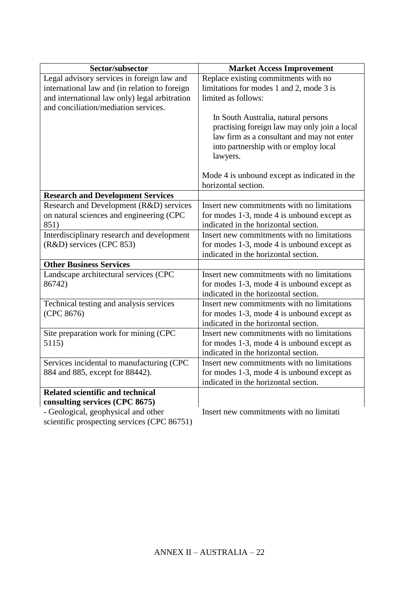| Sector/subsector                              | <b>Market Access Improvement</b>             |
|-----------------------------------------------|----------------------------------------------|
| Legal advisory services in foreign law and    | Replace existing commitments with no         |
| international law and (in relation to foreign | limitations for modes 1 and 2, mode 3 is     |
| and international law only) legal arbitration | limited as follows:                          |
| and conciliation/mediation services.          |                                              |
|                                               | In South Australia, natural persons          |
|                                               | practising foreign law may only join a local |
|                                               | law firm as a consultant and may not enter   |
|                                               | into partnership with or employ local        |
|                                               | lawyers.                                     |
|                                               | Mode 4 is unbound except as indicated in the |
|                                               | horizontal section.                          |
| <b>Research and Development Services</b>      |                                              |
| Research and Development (R&D) services       | Insert new commitments with no limitations   |
| on natural sciences and engineering (CPC      | for modes 1-3, mode 4 is unbound except as   |
| 851)                                          | indicated in the horizontal section.         |
| Interdisciplinary research and development    | Insert new commitments with no limitations   |
| (R&D) services (CPC 853)                      | for modes 1-3, mode 4 is unbound except as   |
|                                               | indicated in the horizontal section.         |
| <b>Other Business Services</b>                |                                              |
| Landscape architectural services (CPC         | Insert new commitments with no limitations   |
| 86742)                                        | for modes 1-3, mode 4 is unbound except as   |
|                                               | indicated in the horizontal section.         |
| Technical testing and analysis services       | Insert new commitments with no limitations   |
| (CPC 8676)                                    | for modes 1-3, mode 4 is unbound except as   |
|                                               | indicated in the horizontal section.         |
| Site preparation work for mining (CPC         | Insert new commitments with no limitations   |
| 5115)                                         | for modes 1-3, mode 4 is unbound except as   |
|                                               | indicated in the horizontal section.         |
| Services incidental to manufacturing (CPC     | Insert new commitments with no limitations   |
| 884 and 885, except for 88442).               | for modes 1-3, mode 4 is unbound except as   |
|                                               | indicated in the horizontal section.         |
| <b>Related scientific and technical</b>       |                                              |
| consulting services (CPC 8675)                |                                              |
| - Geological, geophysical and other           | Insert new commitments with no limitati      |
| scientific prospecting services (CPC 86751)   |                                              |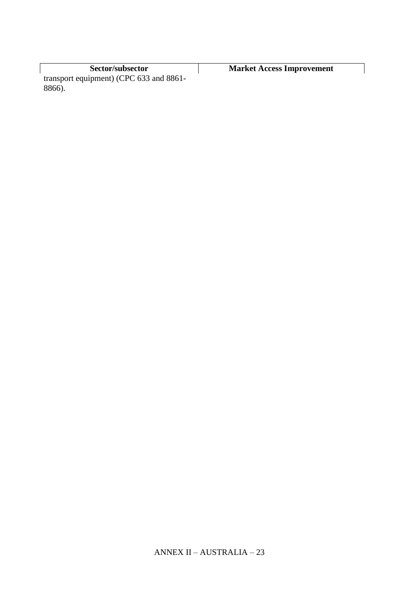**Sector/subsector Market Access Improvement** transport equipment) (CPC 633 and 8861- 8866).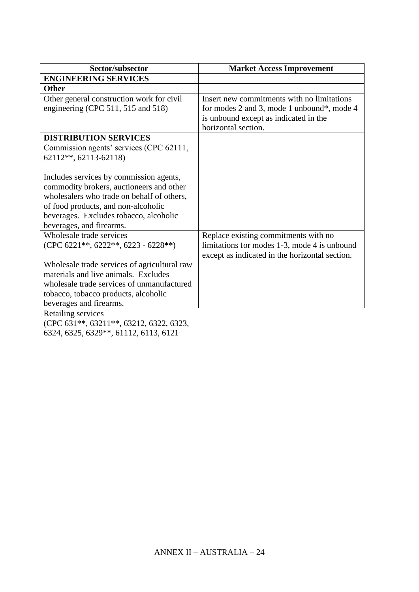| Sector/subsector                                                                                                                                                                                                                                                                                                | <b>Market Access Improvement</b>                                                                                                                         |
|-----------------------------------------------------------------------------------------------------------------------------------------------------------------------------------------------------------------------------------------------------------------------------------------------------------------|----------------------------------------------------------------------------------------------------------------------------------------------------------|
| <b>ENGINEERING SERVICES</b>                                                                                                                                                                                                                                                                                     |                                                                                                                                                          |
| <b>Other</b>                                                                                                                                                                                                                                                                                                    |                                                                                                                                                          |
| Other general construction work for civil<br>engineering (CPC 511, 515 and 518)                                                                                                                                                                                                                                 | Insert new commitments with no limitations<br>for modes 2 and 3, mode 1 unbound*, mode 4<br>is unbound except as indicated in the<br>horizontal section. |
| <b>DISTRIBUTION SERVICES</b>                                                                                                                                                                                                                                                                                    |                                                                                                                                                          |
| Commission agents' services (CPC 62111,<br>62112**, 62113-62118)                                                                                                                                                                                                                                                |                                                                                                                                                          |
| Includes services by commission agents,<br>commodity brokers, auctioneers and other<br>wholesalers who trade on behalf of others,<br>of food products, and non-alcoholic<br>beverages. Excludes tobacco, alcoholic<br>beverages, and firearms.                                                                  |                                                                                                                                                          |
| Wholesale trade services<br>(CPC 6221**, 6222**, 6223 - 6228**)                                                                                                                                                                                                                                                 | Replace existing commitments with no<br>limitations for modes 1-3, mode 4 is unbound<br>except as indicated in the horizontal section.                   |
| Wholesale trade services of agricultural raw<br>materials and live animals. Excludes<br>wholesale trade services of unmanufactured<br>tobacco, tobacco products, alcoholic<br>beverages and firearms.<br>Retailing services<br>(CPC 631**, 63211**, 63212, 6322, 6323,<br>6324, 6325, 6329**, 61112, 6113, 6121 |                                                                                                                                                          |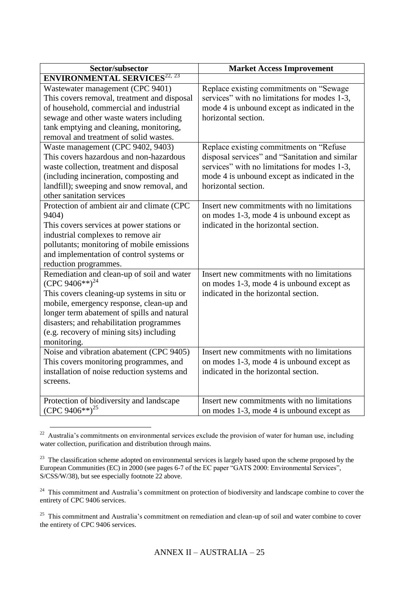| Sector/subsector                                                                                                                                                                                                                                                                                                         | <b>Market Access Improvement</b>                                                                                                                                                                                 |
|--------------------------------------------------------------------------------------------------------------------------------------------------------------------------------------------------------------------------------------------------------------------------------------------------------------------------|------------------------------------------------------------------------------------------------------------------------------------------------------------------------------------------------------------------|
| <b>ENVIRONMENTAL SERVICES<sup>22, 23</sup></b>                                                                                                                                                                                                                                                                           |                                                                                                                                                                                                                  |
| Wastewater management (CPC 9401)<br>This covers removal, treatment and disposal<br>of household, commercial and industrial<br>sewage and other waste waters including<br>tank emptying and cleaning, monitoring,<br>removal and treatment of solid wastes.                                                               | Replace existing commitments on "Sewage<br>services" with no limitations for modes 1-3,<br>mode 4 is unbound except as indicated in the<br>horizontal section.                                                   |
| Waste management (CPC 9402, 9403)<br>This covers hazardous and non-hazardous<br>waste collection, treatment and disposal<br>(including incineration, composting and<br>landfill); sweeping and snow removal, and<br>other sanitation services                                                                            | Replace existing commitments on "Refuse<br>disposal services" and "Sanitation and similar<br>services" with no limitations for modes 1-3,<br>mode 4 is unbound except as indicated in the<br>horizontal section. |
| Protection of ambient air and climate (CPC<br>9404)<br>This covers services at power stations or<br>industrial complexes to remove air<br>pollutants; monitoring of mobile emissions<br>and implementation of control systems or<br>reduction programmes.                                                                | Insert new commitments with no limitations<br>on modes 1-3, mode 4 is unbound except as<br>indicated in the horizontal section.                                                                                  |
| Remediation and clean-up of soil and water<br>(CPC 9406**) <sup>24</sup><br>This covers cleaning-up systems in situ or<br>mobile, emergency response, clean-up and<br>longer term abatement of spills and natural<br>disasters; and rehabilitation programmes<br>(e.g. recovery of mining sits) including<br>monitoring. | Insert new commitments with no limitations<br>on modes 1-3, mode 4 is unbound except as<br>indicated in the horizontal section.                                                                                  |
| Noise and vibration abatement (CPC 9405)<br>This covers monitoring programmes, and<br>installation of noise reduction systems and<br>screens.                                                                                                                                                                            | Insert new commitments with no limitations<br>on modes 1-3, mode 4 is unbound except as<br>indicated in the horizontal section.                                                                                  |
| Protection of biodiversity and landscape<br>(CPC 9406**) <sup>25</sup>                                                                                                                                                                                                                                                   | Insert new commitments with no limitations<br>on modes 1-3, mode 4 is unbound except as                                                                                                                          |

<sup>&</sup>lt;sup>22</sup> Australia's commitments on environmental services exclude the provision of water for human use, including water collection, purification and distribution through mains.

 $23$  The classification scheme adopted on environmental services is largely based upon the scheme proposed by the European Communities (EC) in 2000 (see pages 6-7 of the EC paper "GATS 2000: Environmental Services", S/CSS/W/38), but see especially footnote 22 above.

<sup>&</sup>lt;sup>24</sup> This commitment and Australia's commitment on protection of biodiversity and landscape combine to cover the entirety of CPC 9406 services.

<sup>&</sup>lt;sup>25</sup> This commitment and Australia's commitment on remediation and clean-up of soil and water combine to cover the entirety of CPC 9406 services.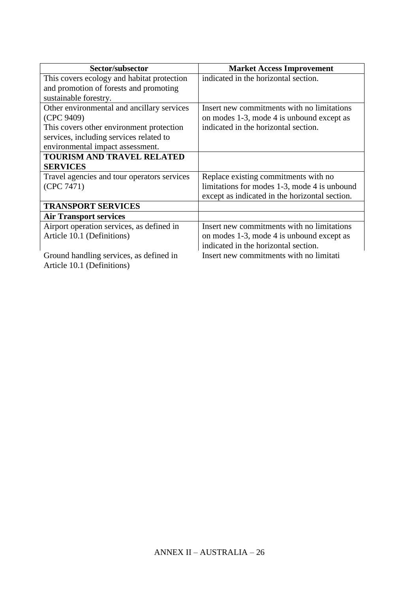| Sector/subsector                            | <b>Market Access Improvement</b>               |
|---------------------------------------------|------------------------------------------------|
| This covers ecology and habitat protection  | indicated in the horizontal section.           |
| and promotion of forests and promoting      |                                                |
| sustainable forestry.                       |                                                |
| Other environmental and ancillary services  | Insert new commitments with no limitations     |
| (CPC 9409)                                  | on modes 1-3, mode 4 is unbound except as      |
| This covers other environment protection    | indicated in the horizontal section.           |
| services, including services related to     |                                                |
| environmental impact assessment.            |                                                |
| <b>TOURISM AND TRAVEL RELATED</b>           |                                                |
| <b>SERVICES</b>                             |                                                |
| Travel agencies and tour operators services | Replace existing commitments with no           |
| (CPC 7471)                                  | limitations for modes 1-3, mode 4 is unbound   |
|                                             | except as indicated in the horizontal section. |
| <b>TRANSPORT SERVICES</b>                   |                                                |
| <b>Air Transport services</b>               |                                                |
| Airport operation services, as defined in   | Insert new commitments with no limitations     |
| Article 10.1 (Definitions)                  | on modes 1-3, mode 4 is unbound except as      |
|                                             | indicated in the horizontal section.           |
| Ground handling services, as defined in     | Insert new commitments with no limitati        |
| Article 10.1 (Definitions)                  |                                                |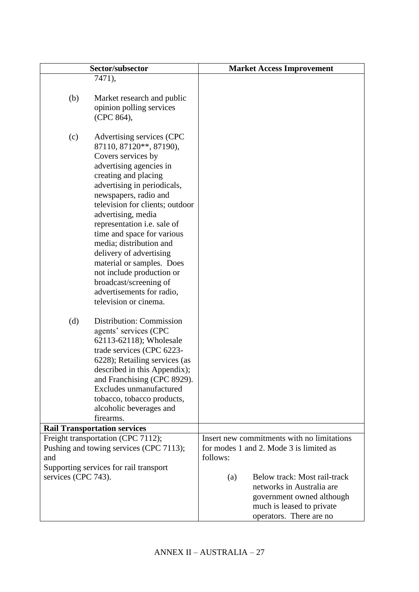| Sector/subsector                                                                                                                                                                                                                                                                                                                                                                                                                                                                                                   | <b>Market Access Improvement</b>                                                                                                                      |
|--------------------------------------------------------------------------------------------------------------------------------------------------------------------------------------------------------------------------------------------------------------------------------------------------------------------------------------------------------------------------------------------------------------------------------------------------------------------------------------------------------------------|-------------------------------------------------------------------------------------------------------------------------------------------------------|
| 7471),                                                                                                                                                                                                                                                                                                                                                                                                                                                                                                             |                                                                                                                                                       |
| (b)<br>Market research and public<br>opinion polling services<br>(CPC 864),                                                                                                                                                                                                                                                                                                                                                                                                                                        |                                                                                                                                                       |
| Advertising services (CPC<br>(c)<br>87110, 87120**, 87190),<br>Covers services by<br>advertising agencies in<br>creating and placing<br>advertising in periodicals,<br>newspapers, radio and<br>television for clients; outdoor<br>advertising, media<br>representation i.e. sale of<br>time and space for various<br>media; distribution and<br>delivery of advertising<br>material or samples. Does<br>not include production or<br>broadcast/screening of<br>advertisements for radio,<br>television or cinema. |                                                                                                                                                       |
| (d)<br>Distribution: Commission<br>agents' services (CPC<br>62113-62118); Wholesale<br>trade services (CPC 6223-<br>6228); Retailing services (as<br>described in this Appendix);<br>and Franchising (CPC 8929).<br>Excludes unmanufactured<br>tobacco, tobacco products,<br>alcoholic beverages and<br>firearms.                                                                                                                                                                                                  |                                                                                                                                                       |
| <b>Rail Transportation services</b>                                                                                                                                                                                                                                                                                                                                                                                                                                                                                |                                                                                                                                                       |
| Freight transportation (CPC 7112);<br>Pushing and towing services (CPC 7113);<br>and<br>Supporting services for rail transport                                                                                                                                                                                                                                                                                                                                                                                     | Insert new commitments with no limitations<br>for modes 1 and 2. Mode 3 is limited as<br>follows:                                                     |
| services (CPC 743).                                                                                                                                                                                                                                                                                                                                                                                                                                                                                                | Below track: Most rail-track<br>(a)<br>networks in Australia are<br>government owned although<br>much is leased to private<br>operators. There are no |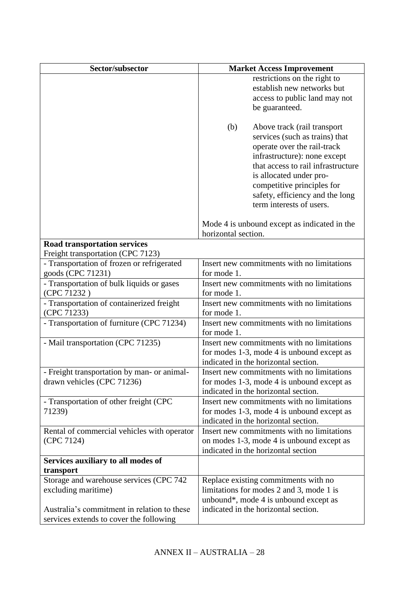| Sector/subsector                                               | <b>Market Access Improvement</b>                                                                                                                                                                                                                                                                  |
|----------------------------------------------------------------|---------------------------------------------------------------------------------------------------------------------------------------------------------------------------------------------------------------------------------------------------------------------------------------------------|
|                                                                | restrictions on the right to                                                                                                                                                                                                                                                                      |
|                                                                | establish new networks but                                                                                                                                                                                                                                                                        |
|                                                                | access to public land may not                                                                                                                                                                                                                                                                     |
|                                                                | be guaranteed.                                                                                                                                                                                                                                                                                    |
|                                                                | Above track (rail transport<br>(b)<br>services (such as trains) that<br>operate over the rail-track<br>infrastructure): none except<br>that access to rail infrastructure<br>is allocated under pro-<br>competitive principles for<br>safety, efficiency and the long<br>term interests of users. |
|                                                                | Mode 4 is unbound except as indicated in the<br>horizontal section.                                                                                                                                                                                                                               |
| <b>Road transportation services</b>                            |                                                                                                                                                                                                                                                                                                   |
| Freight transportation (CPC 7123)                              |                                                                                                                                                                                                                                                                                                   |
| - Transportation of frozen or refrigerated                     | Insert new commitments with no limitations                                                                                                                                                                                                                                                        |
| goods (CPC 71231)                                              | for mode 1.                                                                                                                                                                                                                                                                                       |
| - Transportation of bulk liquids or gases<br>(CPC 71232)       | Insert new commitments with no limitations<br>for mode 1.                                                                                                                                                                                                                                         |
| - Transportation of containerized freight<br>(CPC 71233)       | Insert new commitments with no limitations<br>for mode 1.                                                                                                                                                                                                                                         |
| - Transportation of furniture (CPC 71234)                      | Insert new commitments with no limitations<br>for mode 1.                                                                                                                                                                                                                                         |
| - Mail transportation (CPC 71235)                              | Insert new commitments with no limitations<br>for modes 1-3, mode 4 is unbound except as<br>indicated in the horizontal section.                                                                                                                                                                  |
| - Freight transportation by man- or animal-                    | Insert new commitments with no limitations                                                                                                                                                                                                                                                        |
| drawn vehicles (CPC 71236)                                     | for modes 1-3, mode 4 is unbound except as                                                                                                                                                                                                                                                        |
|                                                                | indicated in the horizontal section.                                                                                                                                                                                                                                                              |
| - Transportation of other freight (CPC<br>71239)               | Insert new commitments with no limitations<br>for modes 1-3, mode 4 is unbound except as<br>indicated in the horizontal section.                                                                                                                                                                  |
| Rental of commercial vehicles with operator                    | Insert new commitments with no limitations                                                                                                                                                                                                                                                        |
| (CPC 7124)                                                     | on modes 1-3, mode 4 is unbound except as<br>indicated in the horizontal section                                                                                                                                                                                                                  |
| Services auxiliary to all modes of                             |                                                                                                                                                                                                                                                                                                   |
| transport                                                      |                                                                                                                                                                                                                                                                                                   |
| Storage and warehouse services (CPC 742<br>excluding maritime) | Replace existing commitments with no<br>limitations for modes 2 and 3, mode 1 is<br>unbound*, mode 4 is unbound except as                                                                                                                                                                         |
| Australia's commitment in relation to these                    | indicated in the horizontal section.                                                                                                                                                                                                                                                              |
| services extends to cover the following                        |                                                                                                                                                                                                                                                                                                   |